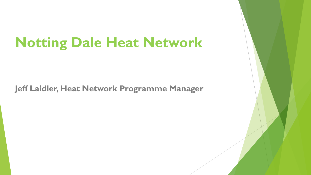# **Notting Dale Heat Network**

**Jeff Laidler, Heat Network Programme Manager**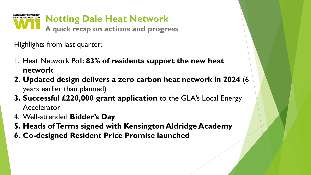

Highlights from last quarter:

- 1. Heat Network Poll: **83% of residents support the new heat network**
- **2. Updated design delivers a zero carbon heat network in 2024** (6 years earlier than planned)
- **3. Successful £220,000 grant application** to the GLA's Local Energy Accelerator
- 4. Well-attended **Bidder's Day**
- **5. Heads of Terms signed with Kensington Aldridge Academy**
- **6. Co-designed Resident Price Promise launched**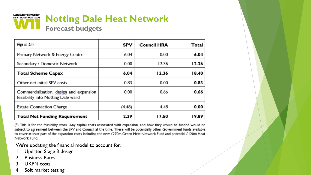

| Figs in £m                                                                    | <b>SPV</b> | <b>Council HRA</b> | Total |
|-------------------------------------------------------------------------------|------------|--------------------|-------|
| Primary Network & Energy Centre                                               | 6.04       | 0.00               | 6.04  |
| Secondary / Domestic Network                                                  | 0.00       | 12.36              | 12.36 |
| <b>Total Scheme Capex</b>                                                     | 6.04       | 12.36              | 18.40 |
| Other net initial SPV costs                                                   | 0.83       | 0.00               | 0.83  |
| Commercialisation, design and expansion<br>feasibility into Notting Dale ward | 0.00       | 0.66               | 0.66  |
| <b>Estate Connection Charge</b>                                               | (4.48)     | 4.48               | 0.00  |
| <b>Total Net Funding Requirement</b>                                          | 2.39       | 17.50              | 19.89 |

(\*) This is for the feasibility work. Any capital costs associated with expansion, and how they would be funded would be subject to agreement between the SPV and Council at the time. There will be potentially other Government funds available to cover at least part of the expansion costs including the new £270m Green Heat Network Fund and potential £120m Heat Network Fund.

We're updating the financial model to account for:

- 1. Updated Stage 3 design
- 2. Business Rates
- 3. UKPN costs
- 4. Soft market testing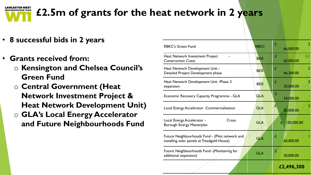

# **£2.5m of grants for the heat network in 2 years**

- **8 successful bids in 2 years**
- **Grants received from:** 
	- o **Kensington and Chelsea Council's Green Fund**
	- o **Central Government (Heat Network Investment Project & Heat Network Development Unit)**
	- o **GLA's Local Energy Accelerator and Future Neighbourhoods Fund**

| <b>RBKC's Green Fund</b>                                                                       | <b>RBKC</b> | £          | 66,000.00        | $\overline{2}$ |
|------------------------------------------------------------------------------------------------|-------------|------------|------------------|----------------|
| Heat Network Investment Project<br><b>Construction Costs</b>                                   | <b>BEIS</b> | £          | 60,000.00        | 1,1            |
| Heat Network Development Unit -<br>Detailed Project Development phase                          | <b>BEIS</b> | £          | 46,300.00        | $\overline{2}$ |
| Heat Network Development Unit - Phase 2<br>expansion                                           | <b>BEIS</b> | £          | 30,000.00        | $\overline{2}$ |
| Economic Recovery Capacity Programme - GLA                                                     | <b>GLA</b>  | £          | 34,000.00        |                |
| Local Energy Accelerator - Commercialisation                                                   | <b>GLA</b>  | A          | 20,000.00        |                |
| Local Energy Accelerator -<br>Cross<br>Borough Energy Masterplan                               | <b>GLA</b>  |            | 150,000.00<br>£. |                |
| Future Neighbourhoods Fund - (Pilot network and<br>installing solar panels at Treadgold House) | <b>GLA</b>  | £          | 60,000.00        |                |
| Future Neighbourhoods Fund -(Monitoring for<br>additional expansion)                           | <b>GLA</b>  | £          | 30,000.00        |                |
|                                                                                                |             | £2,496,300 |                  |                |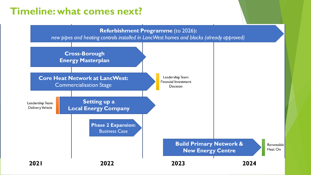## **Timeline: what comes next?**

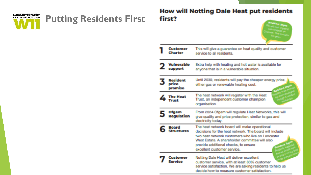

## **Putting Residents First**

## **How will Notting Dale Heat put residents** first?

| Customer<br>Charler          | This will give a guarantee on heat quality and customer<br>service to all residents.                                                                                                                                                                                                |
|------------------------------|-------------------------------------------------------------------------------------------------------------------------------------------------------------------------------------------------------------------------------------------------------------------------------------|
| Vulnerable<br>support        | Extra help with heating and hot water is available for<br>anyone that is in a vulnerable situation.                                                                                                                                                                                 |
| Resident<br>price<br>promise | Until 2030, residents will pay the cheaper energy price,<br>either gas or renewable heating cost.                                                                                                                                                                                   |
| The Heat                     | The heat network will register with the Heat<br>Trust, an independent customer champion<br>organisation.                                                                                                                                                                            |
| Ofgem<br><b>Regulation</b>   | From 2024 Ofgem will regulate Heat Networks, this will<br>give quality and price protection, similar to gas and<br>electricity today.                                                                                                                                               |
| Board<br><b>Structures</b>   | The heat network board will make operational<br>decisions for the heat network. The board will include<br>two heat network customers who live on Lancaster<br>West Estate, A shareholder committee will also<br>provide additional checks, to ensure<br>excellent customer service. |
| Customer<br>Service          | Notting Dale Heat will deliver excellent<br>customer service, with at least 80% customer<br>service satisfaction. We are asking residents to help us<br>decide how to measure customer satisfaction.                                                                                |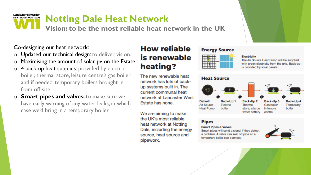### **LANCASTER WEST Notting Dale Heat Network NEIGHBOURHOOD TEAM**

**Vision: to be the most reliable heat network in the UK**

Co-designing our heat network:

- o Updated our technical design: to deliver vision.
- o Maximising the amount of solar pv on the Estate
- $\circ$  4 back-up heat supplies: provided by electric boiler, thermal store, leisure centre's gas boiler and if needed, temporary boilers brought in from off-site.
- o **Smart pipes and valves:** to make sure we have early warning of any water leaks, in which case we'd bring in a temporary boiler.

## **How reliable** is renewable heating?

The new renewable heat network has lots of backup systems built in. The current communal heat network at Lancaster West Estate has none.

We are aiming to make the UK's most reliable heat network at Notting Dale, including the energy source, heat source and pipework.

## **Energy Source**



**Electricity** The Air Source Heat Pump will be supplied with green electricity from the grid. Back-up is provided by solar panels.

#### **Heat Source Default** Back-Up 1 Back-Up<sub>2</sub> Back-Up 3 Back-Up 4 Air Source Electric Thermal Gas boiler Temporary **Heat Pump** boiler store, a large in leisure boiler water battery centre

## **Pipes**

#### **Smart Pipes & Valves**

Smart pipes will send a signal if they detect a problem. A valve can seal off pipe so a temporary boiler can connect.



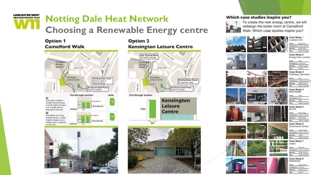### **LANCASTER WEST Notting Dale Heat Network NEIGHBOURHOOD TEAM Choosing a Renewable Energy centre**

## **Option 1 Camelford Walk**



## **Option 2 Kensington Leisure Centre**







#### Which case studies inspire you?



To create the new energy centre, we will redesign the boiler room at Camelford Walk. Which case studies inspire you?





Case Study 2 Energy Hub, London

**Emailes Transport Brienlafe** Plastics & glass Mariner Since: Case Study 3

ParkHaus, Denmark Cultural **Terminessey Terminent** distantation **Metal & plant** 

 $n_{\rm ch}$ Mariners leaks Case Study 4 Manchester

**Slide Marinei Ind** Case Study 5

Bunhill **Phone: All Automaker** and highly are allow-**Minister & Killed** 

Case Study 6 Community Centre mente Finalizio schulz

Weights. **Ed Case Study 7** Leeds

> op Large scindale to Total & starts Blyin

Markets industry Case Study 8

Gateshead **Greys & parts** Darbinar Transportation Informations **Meta boxis**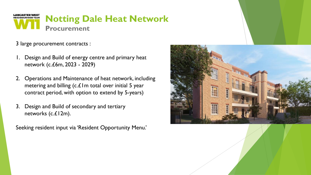

3 large procurement contracts :

- Design and Build of energy centre and primary heat network (c.£6m, 2023 - 2029)
- 2. Operations and Maintenance of heat network, including metering and billing (c. $£1m$  total over initial 5 year contract period, with option to extend by 5-years)
- 3. Design and Build of secondary and tertiary networks (c.£12m).

Seeking resident input via 'Resident Opportunity Menu.'